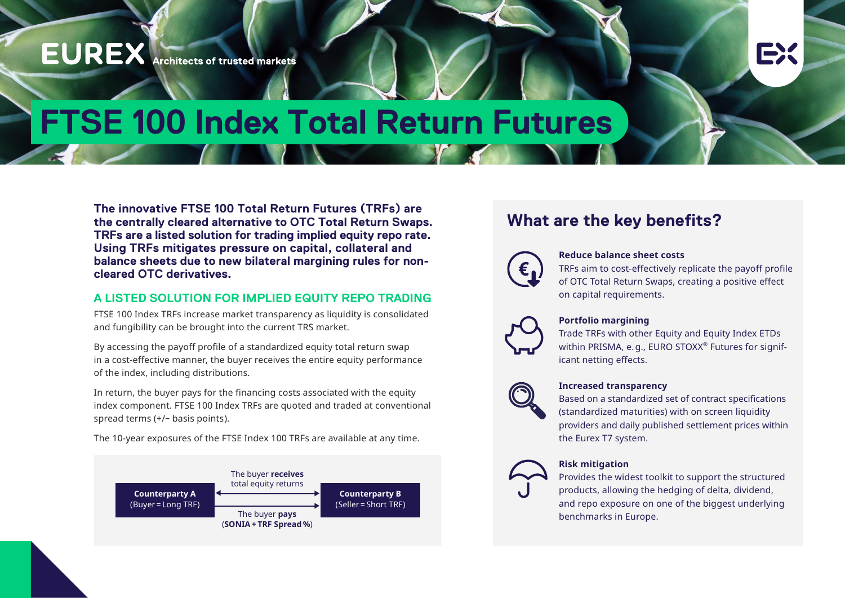## **EUREX** Architects of trusted markets

# **FTSE 100 Index Total Return Futures**

**The innovative FTSE 100 Total Return Futures (TRFs) are the centrally cleared alternative to OTC Total Return Swaps. TRFs are a listed solution for trading implied equity repo rate. Using TRFs mitigates pressure on capital, collateral and balance sheets due to new bilateral margining rules for noncleared OTC derivatives.**

#### **A LISTED SOLUTION FOR IMPLIED EQUITY REPO TRADING**

FTSE 100 Index TRFs increase market transparency as liquidity is consolidated and fungibility can be brought into the current TRS market.

By accessing the payoff profile of a standardized equity total return swap in a cost-effective manner, the buyer receives the entire equity performance of the index, including distributions.

In return, the buyer pays for the financing costs associated with the equity index component. FTSE 100 Index TRFs are quoted and traded at conventional spread terms (+/– basis points).

The 10-year exposures of the FTSE Index 100 TRFs are available at any time.



### **What are the key benefits?**



#### **Reduce balance sheet costs**

TRFs aim to cost-effectively replicate the payoff profile of OTC Total Return Swaps, creating a positive effect on capital requirements.

EX



#### **Portfolio margining**

Trade TRFs with other Equity and Equity Index ETDs within PRISMA, e.g., EURO STOXX® Futures for significant netting effects.



#### **Increased transparency**

Based on a standardized set of contract specifications (standardized maturities) with on screen liquidity providers and daily published settlement prices within the Eurex T7 system.



#### **Risk mitigation**

Provides the widest toolkit to support the structured products, allowing the hedging of delta, dividend, and repo exposure on one of the biggest underlying benchmarks in Europe.